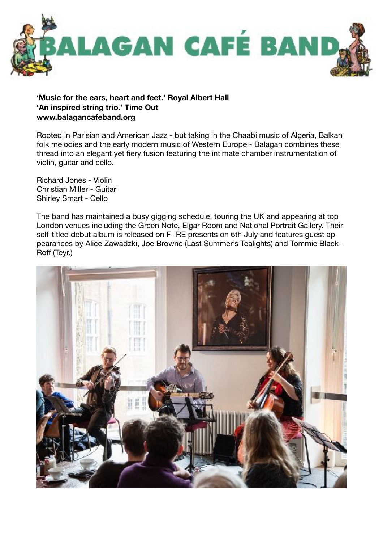

## **'Music for the ears, heart and feet.' Royal Albert Hall 'An inspired string trio.' Time Out [www.balagancafeband.org](http://www.balagancafeband.org)**

Rooted in Parisian and American Jazz - but taking in the Chaabi music of Algeria, Balkan folk melodies and the early modern music of Western Europe - Balagan combines these thread into an elegant yet fiery fusion featuring the intimate chamber instrumentation of violin, guitar and cello.

Richard Jones - Violin Christian Miller - Guitar Shirley Smart - Cello

The band has maintained a busy gigging schedule, touring the UK and appearing at top London venues including the Green Note, Elgar Room and National Portrait Gallery. Their self-titled debut album is released on F-IRE presents on 6th July and features guest appearances by Alice Zawadzki, Joe Browne (Last Summer's Tealights) and Tommie Black-Roff (Teyr.)